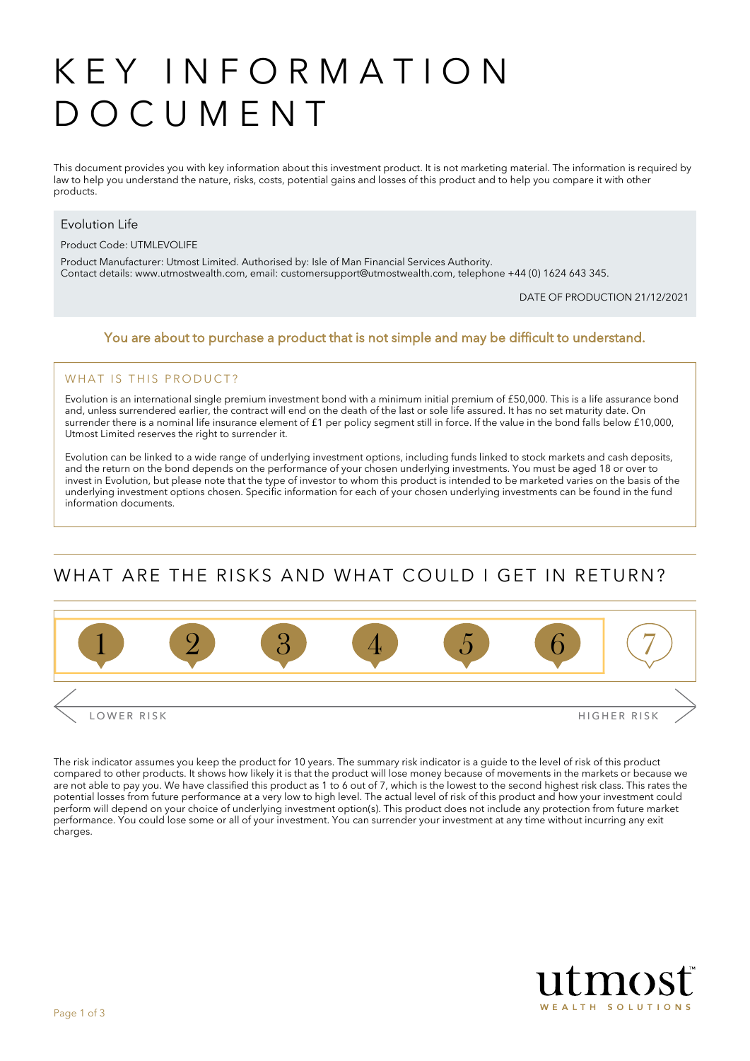# KEY INFORMATION DOCUMENT

This document provides you with key information about this investment product. It is not marketing material. The information is required by law to help you understand the nature, risks, costs, potential gains and losses of this product and to help you compare it with other products.

#### Evolution Life

Product Code: UTMLEVOLIFE

Product Manufacturer: Utmost Limited. Authorised by: Isle of Man Financial Services Authority. Contact details: [www.utmostwealth.com,](www.utmostinternational.com) email: customersupport@utmostwealth.com, telephone +44 (0) 1624 643 345.

DATE OF PRODUCTION 21/12/2021

#### You are about to purchase a product that is not simple and may be difficult to understand.

#### WHAT IS THIS PRODUCT?

Evolution is an international single premium investment bond with a minimum initial premium of £50,000. This is a life assurance bond and, unless surrendered earlier, the contract will end on the death of the last or sole life assured. It has no set maturity date. On surrender there is a nominal life insurance element of £1 per policy segment still in force. If the value in the bond falls below £10,000, Utmost Limited reserves the right to surrender it.

Evolution can be linked to a wide range of underlying investment options, including funds linked to stock markets and cash deposits, and the return on the bond depends on the performance of your chosen underlying investments. You must be aged 18 or over to invest in Evolution, but please note that the type of investor to whom this product is intended to be marketed varies on the basis of the underlying investment options chosen. Specific information for each of your chosen underlying investments can be found in the fund information documents.

## WHAT ARE THE RISKS AND WHAT COULD I GET IN RETURN?



The risk indicator assumes you keep the product for 10 years. The summary risk indicator is a guide to the level of risk of this product compared to other products. It shows how likely it is that the product will lose money because of movements in the markets or because we are not able to pay you. We have classified this product as 1 to 6 out of 7, which is the lowest to the second highest risk class. This rates the potential losses from future performance at a very low to high level. The actual level of risk of this product and how your investment could perform will depend on your choice of underlying investment option(s). This product does not include any protection from future market performance. You could lose some or all of your investment. You can surrender your investment at any time without incurring any exit charges.

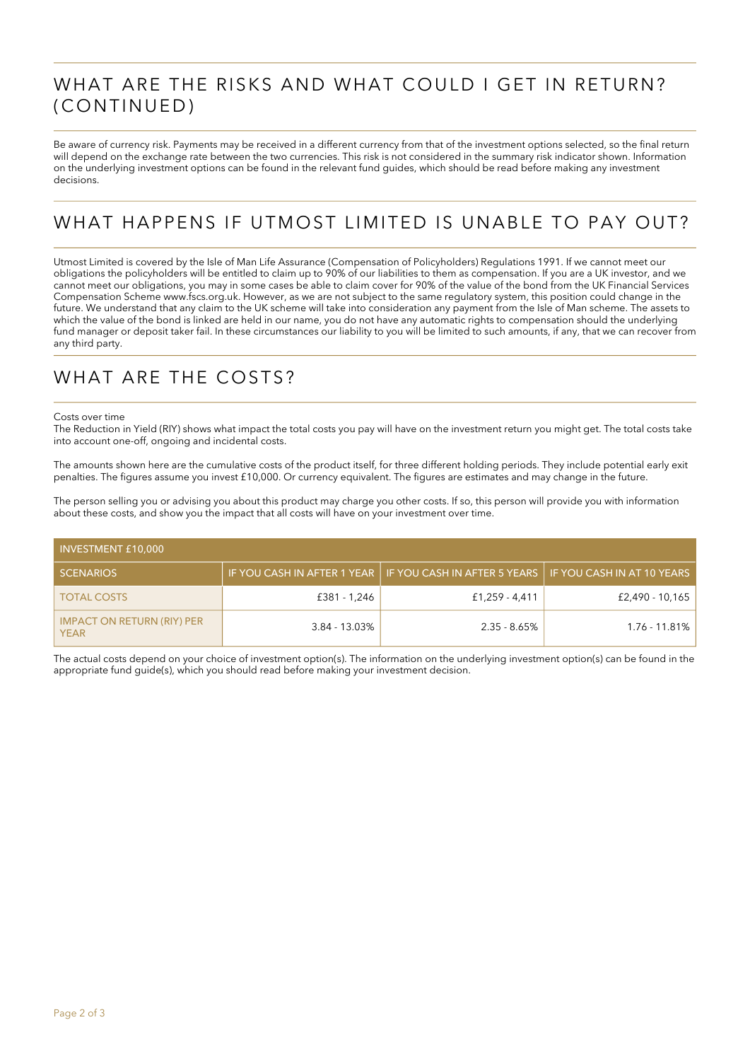### WHAT ARE THE RISKS AND WHAT COULD I GET IN RETURN? (CONTINUED)

Be aware of currency risk. Payments may be received in a different currency from that of the investment options selected, so the final return will depend on the exchange rate between the two currencies. This risk is not considered in the summary risk indicator shown. Information on the underlying investment options can be found in the relevant fund guides, which should be read before making any investment decisions.

# WHAT HAPPENS IF UTMOST LIMITED IS UNABLE TO PAY OUT?

Utmost Limited is covered by the Isle of Man Life Assurance (Compensation of Policyholders) Regulations 1991. If we cannot meet our obligations the policyholders will be entitled to claim up to 90% of our liabilities to them as compensation. If you are a UK investor, and we cannot meet our obligations, you may in some cases be able to claim cover for 90% of the value of the bond from the UK Financial Services Compensation Scheme www.fscs.org.uk. However, as we are not subject to the same regulatory system, this position could change in the future. We understand that any claim to the UK scheme will take into consideration any payment from the Isle of Man scheme. The assets to which the value of the bond is linked are held in our name, you do not have any automatic rights to compensation should the underlying fund manager or deposit taker fail. In these circumstances our liability to you will be limited to such amounts, if any, that we can recover from any third party.

### WHAT ARE THE COSTS?

#### Costs over time

The Reduction in Yield (RIY) shows what impact the total costs you pay will have on the investment return you might get. The total costs take into account one-off, ongoing and incidental costs.

The amounts shown here are the cumulative costs of the product itself, for three different holding periods. They include potential early exit penalties. The figures assume you invest £10,000. Or currency equivalent. The figures are estimates and may change in the future.

The person selling you or advising you about this product may charge you other costs. If so, this person will provide you with information about these costs, and show you the impact that all costs will have on your investment over time.

| INVESTMENT £10,000                               |                  |                                                            |                            |  |
|--------------------------------------------------|------------------|------------------------------------------------------------|----------------------------|--|
| <b>SCENARIOS</b>                                 |                  | IF YOU CASH IN AFTER 1 YEAR   IF YOU CASH IN AFTER 5 YEARS | IF YOU CASH IN AT 10 YEARS |  |
| <b>TOTAL COSTS</b>                               | £381 - 1,246     | £1,259 - 4,411                                             | £2,490 - 10,165            |  |
| <b>IMPACT ON RETURN (RIY) PER</b><br><b>YEAR</b> | $3.84 - 13.03\%$ | $2.35 - 8.65\%$                                            | 1.76 - 11.81%              |  |

The actual costs depend on your choice of investment option(s). The information on the underlying investment option(s) can be found in the appropriate fund guide(s), which you should read before making your investment decision.